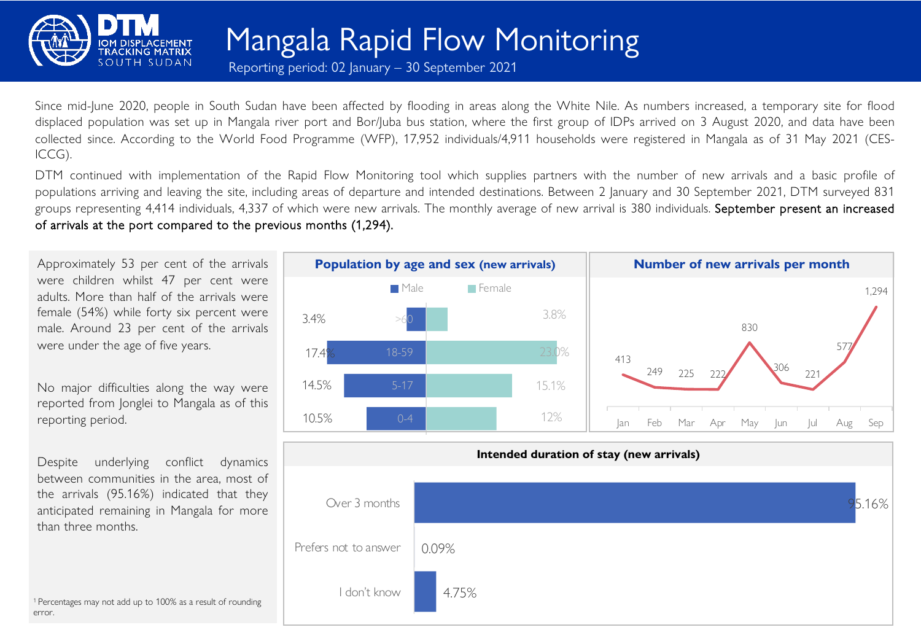

Mangala Rapid Flow Monitoring

Reporting period: 02 January – 30 September 2021

Since mid-June 2020, people in South Sudan have been affected by flooding in areas along the White Nile. As numbers increased, a temporary site for flood displaced population was set up in Mangala river port and Bor/Juba bus station, where the first group of IDPs arrived on 3 August 2020, and data have been collected since. According to the World Food Programme (WFP), 17,952 individuals/4,911 households were registered in Mangala as of 31 May 2021 (CES-ICCG).

DTM continued with implementation of the Rapid Flow Monitoring tool which supplies partners with the number of new arrivals and a basic profile of populations arriving and leaving the site, including areas of departure and intended destinations. Between 2 January and 30 September 2021, DTM surveyed 831 groups representing 4,414 individuals, 4,337 of which were new arrivals. The monthly average of new arrival is 380 individuals. September present an increased of arrivals at the port compared to the previous months (1,294).

Approximately 53 per cent of the arrivals were children whilst 47 per cent were adults. More than half of the arrivals were female (54%) while forty six percent were male. Around 23 per cent of the arrivals were under the age of five years.

No major difficulties along the way were reported from Jonglei to Mangala as of this reporting period.

Despite underlying conflict dynamics between communities in the area, most of the arrivals (95.16%) indicated that they anticipated remaining in Mangala for more than three months.



<sup>1</sup> Percentages may not add up to 100% as a result of rounding error.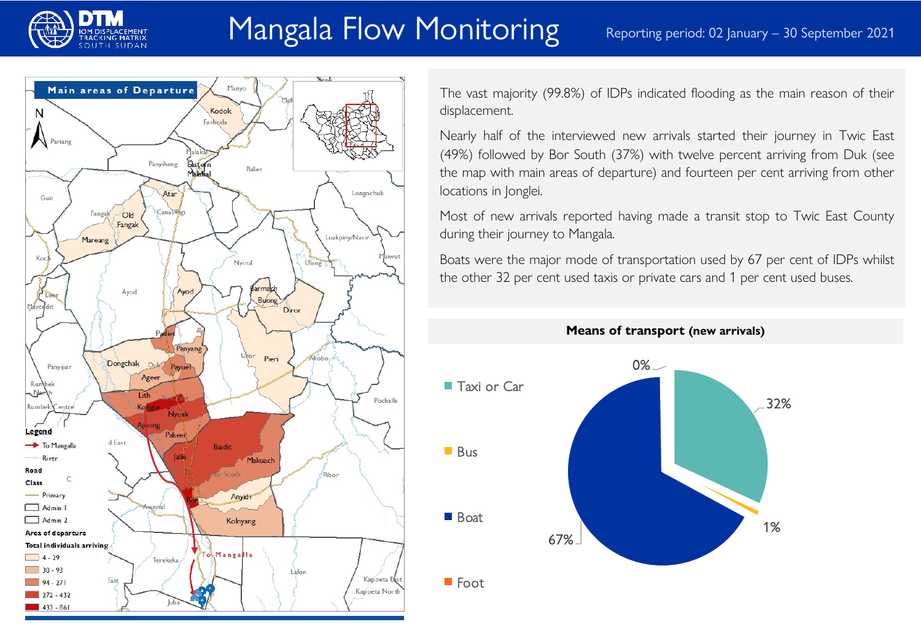

# Mangala Flow Monitoring Reporting period: 02 January – 30 September 2021



The vast majority (99.8%) of IDPs indicated flooding as the main reason of their displacement.

Nearly half of the interviewed new arrivals started their journey in Twic East (49%) followed by Bor South (37%) with twelve percent arriving from Duk (see the map with main areas of departure) and fourteen per cent arriving from other locations in Jonglei.

Most of new arrivals reported having made a transit stop to Twic East County during their journey to Mangala.

Boats were the major mode of transportation used by 67 per cent of IDPs whilst the other 32 per cent used taxis or private cars and 1 per cent used buses.



**Means of transport (new arrivals)**